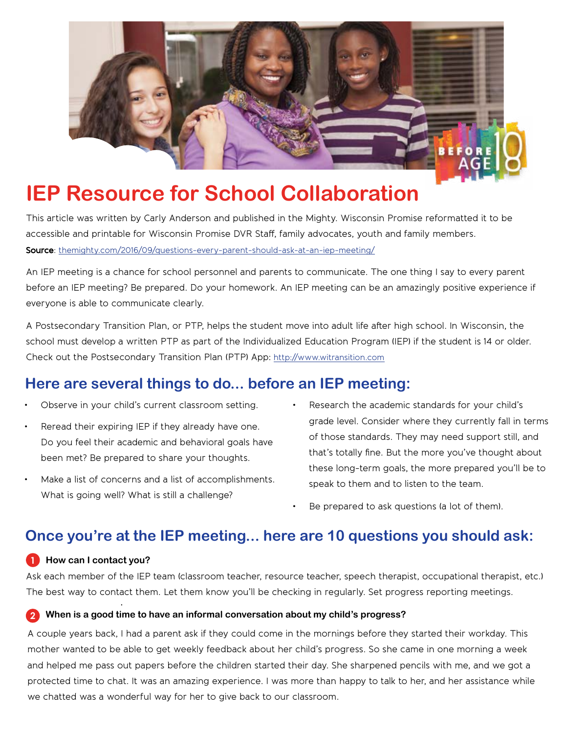

# **IEP Resource for School Collaboratio[n](https://beforeage18.org)**

This article was written by Carly Anderson and published in the Mighty. Wisconsin Promise reformatted it to be accessible and printable for Wisconsin Promise DVR Staff, family advocates, youth and family members. Source: [themighty.com/2016/09/questions-every-parent-should-ask-at-an-iep-meeting/](https://themighty.com/2016/09/questions-every-parent-should-ask-at-an-iep-meeting/)

An IEP meeting is a chance for school personnel and parents to communicate. The one thing I say to every parent before an IEP meeting? Be prepared. Do your homework. An IEP meeting can be an amazingly positive experience if everyone is able to communicate clearly.

A Postsecondary Transition Plan, or PTP, helps the student move into adult life after high school. In Wisconsin, the school must develop a written PTP as part of the Individualized Education Program (IEP) if the student is 14 or older. Check out the Postsecondary Transition Plan (PTP) App: http://www.witransition.com

# Here are several things to do... before an IEP meeting:

- 
- 
- Make a list of concerns and a list of accomplishments. speak to them and to listen to the team. What is going well? What is still a challenge?
- Observe in your child's current classroom setting. Research the academic standards for your child's Reread their expiring IEP if they already have one. example rade level. Consider where they currently fall in terms of those standards. They may need support still, and Do you feel their academic and behavioral goals have that's totally fine. But the more you've thought about been met? Be prepared to share your thoughts. these long-term goals, the more prepared you'll be to
	- Be prepared to ask questions (a lot of them).

## **Once you're at the IEP meeting... here are 10 questions you should ask:**

#### **1 How can I contact you?**

.

Ask each member of the IEP team (classroom teacher, resource teacher, speech therapist, occupational therapist, etc.) The best way to contact them. Let them know you'll be checking in regularly. Set progress reporting meetings.

#### **2 When is a good time to have an informal conversation about my child's progress?**

A couple years back, I had a parent ask if they could come in the mornings before they started their workday. This mother wanted to be able to get weekly feedback about her child's progress. So she came in one morning a week and helped me pass out papers before the children started their day. She sharpened pencils with me, and we got a protected time to chat. It was an amazing experience. I was more than happy to talk to her, and her assistance while we chatted was a wonderful way for her to give back to our classroom.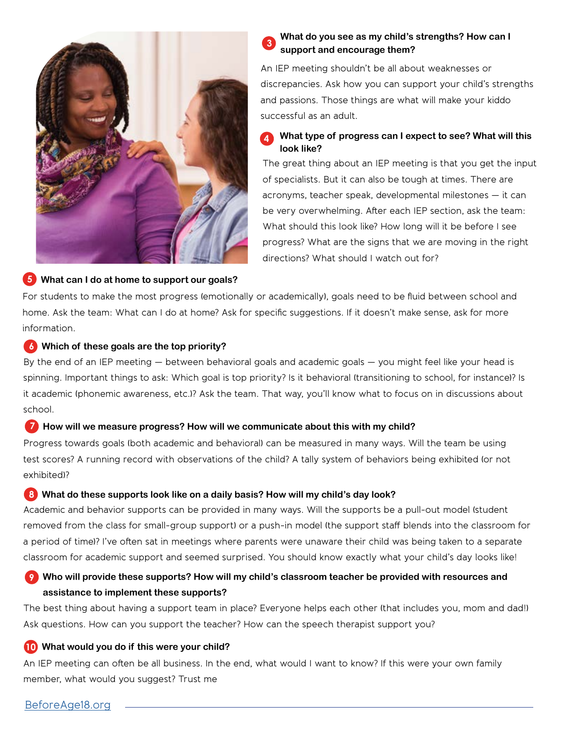

#### **5 What can I do at home to support our goals?**

#### **3 What do you see as my child's strengths? How can I support and encourage them?**

An IEP meeting shouldn't be all about weaknesses or discrepancies. Ask how you can support your child's strengths and passions. Those things are what will make your kiddo successful as an adult.

### **4 What type of progress can I expect to see? What will this look like?**

The great thing about an IEP meeting is that you get the input of specialists. But it can also be tough at times. There are acronyms, teacher speak, developmental milestones — it can be very overwhelming. After each IEP section, ask the team: What should this look like? How long will it be before I see progress? What are the signs that we are moving in the right directions? What should I watch out for?

For students to make the most progress (emotionally or academically), goals need to be fluid between school and home. Ask the team: What can I do at home? Ask for specific suggestions. If it doesn't make sense, ask for more information.

#### **6 Which of these goals are the top priority?**

By the end of an IEP meeting — between behavioral goals and academic goals — you might feel like your head is spinning. Important things to ask: Which goal is top priority? Is it behavioral (transitioning to school, for instance)? Is it academic (phonemic awareness, etc.)? Ask the team. That way, you'll know what to focus on in discussions about school.

### **7 How will we measure progress? How will we communicate about this with my child?**

Progress towards goals (both academic and behavioral) can be measured in many ways. Will the team be using test scores? A running record with observations of the child? A tally system of behaviors being exhibited (or not exhibited)?

### **8 What do these supports look like on a daily basis? How will my child's day look?**

Academic and behavior supports can be provided in many ways. Will the supports be a pull-out model (student removed from the class for small-group support) or a push-in model (the support staff blends into the classroom for a period of time)? I've often sat in meetings where parents were unaware their child was being taken to a separate classroom for academic support and seemed surprised. You should know exactly what your child's day looks like!

### **9** Who will provide these supports? How will my child's classroom teacher be provided with resources and **assistance to implement these supports?**

The best thing about having a support team in place? Everyone helps each other (that includes you, mom and dad!) Ask questions. How can you support the teacher? How can the speech therapist support you?

### **10 What would you do if this were your child?**

An IEP meeting can often be all business. In the end, what would I want to know? If this were your own family member, what would you suggest? Trust me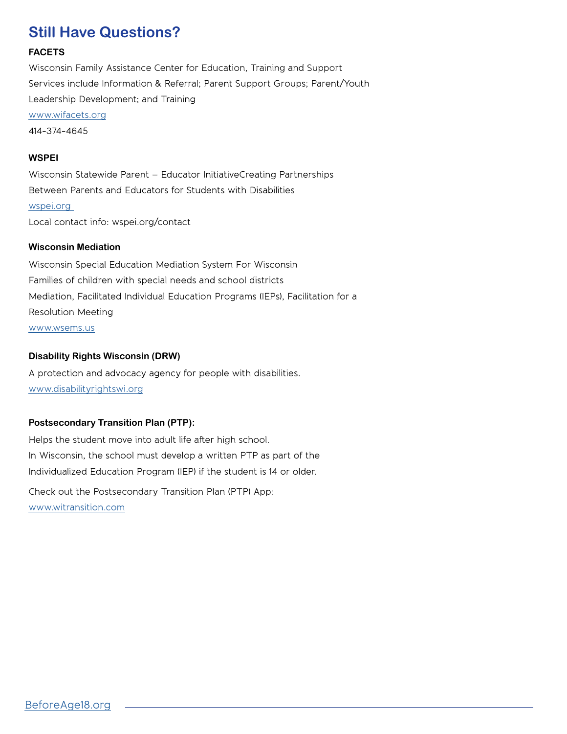## **Still Have Questions?**

#### **FACETS**

Wisconsin Family Assistance Center for Education, Training and Support Services include Information & Referral; Parent Support Groups; Parent/Youth Leadership Development; and Training www.wifacets.org 414-374-4645

#### **WSPEI**

Wisconsin Statewide Parent – Educator InitiativeCreating Partnerships Between Parents and Educators for Students with Disabilities [wspei.org](https://wspei.org/)  Local contact info: wspei.org/contact

#### **Wisconsin Mediation**

Wisconsin Special Education Mediation System For Wisconsin Families of children with special needs and school districts Mediation, Facilitated Individual Education Programs (IEPs), Facilitation for a Resolution Meeting www.wsems.us

#### **Disability Rights Wisconsin (DRW)**

A protection and advocacy agency for people with disabilities. www.disabilityrightswi.org

#### **Postsecondary Transition Plan (PTP):**

Helps the student move into adult life after high school. In Wisconsin, the school must develop a written PTP as part of the Individualized Education Program (IEP) if the student is 14 or older.

Check out the Postsecondary Transition Plan (PTP) App: www.witransition.com